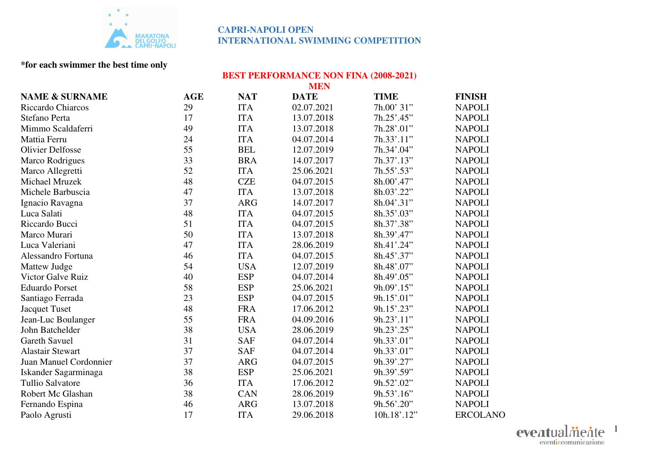

## **\*for each swimmer the best time only**

# **BEST PERFORMANCE NON FINA (2008-2021) MEN**

| <b>NAME &amp; SURNAME</b> | <b>AGE</b> | <b>NAT</b> | <b>DATE</b> | <b>TIME</b> | <b>FINISH</b>   |
|---------------------------|------------|------------|-------------|-------------|-----------------|
| Riccardo Chiarcos         | 29         | <b>ITA</b> | 02.07.2021  | 7h.00' 31"  | <b>NAPOLI</b>   |
| Stefano Perta             | 17         | <b>ITA</b> | 13.07.2018  | 7h.25'.45"  | <b>NAPOLI</b>   |
| Mimmo Scaldaferri         | 49         | <b>ITA</b> | 13.07.2018  | 7h.28'.01"  | <b>NAPOLI</b>   |
| Mattia Ferru              | 24         | <b>ITA</b> | 04.07.2014  | 7h.33' .11" | <b>NAPOLI</b>   |
| <b>Olivier Delfosse</b>   | 55         | <b>BEL</b> | 12.07.2019  | 7h.34'.04"  | <b>NAPOLI</b>   |
| Marco Rodrigues           | 33         | <b>BRA</b> | 14.07.2017  | 7h.37'.13"  | <b>NAPOLI</b>   |
| Marco Allegretti          | 52         | <b>ITA</b> | 25.06.2021  | 7h.55'.53"  | <b>NAPOLI</b>   |
| Michael Mruzek            | 48         | <b>CZE</b> | 04.07.2015  | 8h.00'.47"  | <b>NAPOLI</b>   |
| Michele Barbuscia         | 47         | <b>ITA</b> | 13.07.2018  | 8h.03'.22"  | <b>NAPOLI</b>   |
| Ignacio Ravagna           | 37         | <b>ARG</b> | 14.07.2017  | 8h.04'.31"  | <b>NAPOLI</b>   |
| Luca Salati               | 48         | <b>ITA</b> | 04.07.2015  | 8h.35'.03"  | <b>NAPOLI</b>   |
| Riccardo Bucci            | 51         | <b>ITA</b> | 04.07.2015  | 8h.37'.38"  | <b>NAPOLI</b>   |
| Marco Murari              | 50         | <b>ITA</b> | 13.07.2018  | 8h.39' .47" | <b>NAPOLI</b>   |
| Luca Valeriani            | 47         | <b>ITA</b> | 28.06.2019  | 8h.41'.24"  | <b>NAPOLI</b>   |
| Alessandro Fortuna        | 46         | <b>ITA</b> | 04.07.2015  | 8h.45'.37"  | <b>NAPOLI</b>   |
| Mattew Judge              | 54         | <b>USA</b> | 12.07.2019  | 8h.48'.07"  | <b>NAPOLI</b>   |
| <b>Victor Galve Ruiz</b>  | 40         | <b>ESP</b> | 04.07.2014  | 8h.49'.05"  | <b>NAPOLI</b>   |
| <b>Eduardo Porset</b>     | 58         | <b>ESP</b> | 25.06.2021  | 9h.09'.15"  | <b>NAPOLI</b>   |
| Santiago Ferrada          | 23         | <b>ESP</b> | 04.07.2015  | 9h.15'.01"  | <b>NAPOLI</b>   |
| <b>Jacquet Tuset</b>      | 48         | <b>FRA</b> | 17.06.2012  | 9h.15'.23"  | <b>NAPOLI</b>   |
| Jean-Luc Boulanger        | 55         | <b>FRA</b> | 04.09.2016  | 9h.23'.11"  | <b>NAPOLI</b>   |
| John Batchelder           | 38         | <b>USA</b> | 28.06.2019  | 9h.23'.25"  | <b>NAPOLI</b>   |
| <b>Gareth Savuel</b>      | 31         | <b>SAF</b> | 04.07.2014  | 9h.33'.01"  | <b>NAPOLI</b>   |
| <b>Alastair Stewart</b>   | 37         | <b>SAF</b> | 04.07.2014  | 9h.33'.01"  | <b>NAPOLI</b>   |
| Juan Manuel Cordonnier    | 37         | <b>ARG</b> | 04.07.2015  | 9h.39'.27"  | <b>NAPOLI</b>   |
| Iskander Sagarminaga      | 38         | <b>ESP</b> | 25.06.2021  | 9h.39'.59"  | <b>NAPOLI</b>   |
| <b>Tullio Salvatore</b>   | 36         | <b>ITA</b> | 17.06.2012  | 9h.52'.02"  | <b>NAPOLI</b>   |
| Robert Mc Glashan         | 38         | CAN        | 28.06.2019  | 9h.53'.16"  | <b>NAPOLI</b>   |
| Fernando Espina           | 46         | <b>ARG</b> | 13.07.2018  | 9h.56'.20"  | <b>NAPOLI</b>   |
| Paolo Agrusti             | 17         | <b>ITA</b> | 29.06.2018  | 10h.18'.12" | <b>ERCOLANO</b> |

eventualmente 1eventiecomunicazione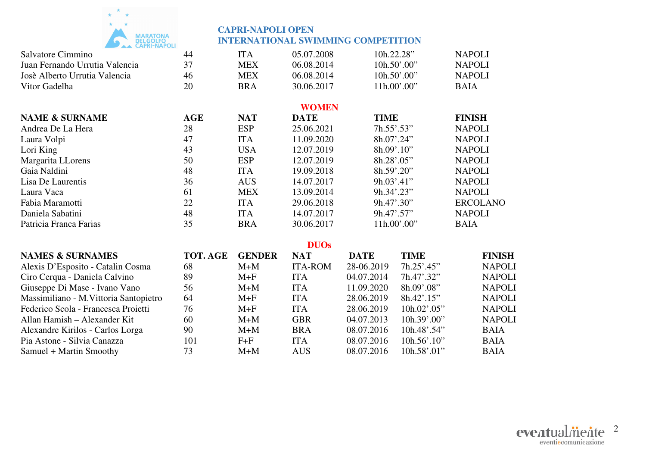

| AA VALINTIVAT VLI              |            |            |              |                            |                 |
|--------------------------------|------------|------------|--------------|----------------------------|-----------------|
| Salvatore Cimmino              | 44         | <b>ITA</b> | 05.07.2008   | 10h.22.28"                 | <b>NAPOLI</b>   |
| Juan Fernando Urrutia Valencia | 37         | <b>MEX</b> | 06.08.2014   | $10h.50'$ .00"             | <b>NAPOLI</b>   |
| Josè Alberto Urrutia Valencia  | 46         | <b>MEX</b> | 06.08.2014   | 10h.50' .00''              | <b>NAPOLI</b>   |
| Vitor Gadelha                  | 20         | <b>BRA</b> | 30.06.2017   | 11h.00'.00"                | <b>BAIA</b>     |
|                                |            |            | <b>WOMEN</b> |                            |                 |
| <b>NAME &amp; SURNAME</b>      | <b>AGE</b> | <b>NAT</b> | <b>DATE</b>  | <b>TIME</b>                | <b>FINISH</b>   |
| Andrea De La Hera              | 28         | <b>ESP</b> | 25.06.2021   | 7h.55' .53"                | <b>NAPOLI</b>   |
| Laura Volpi                    | 47         | <b>ITA</b> | 11.09.2020   | 8h.07'.24"                 | <b>NAPOLI</b>   |
| Lori King                      | 43         | <b>USA</b> | 12.07.2019   | $8h.09'$ .10"              | <b>NAPOLI</b>   |
| Margarita LLorens              | 50         | <b>ESP</b> | 12.07.2019   | 8h.28' .05"                | <b>NAPOLI</b>   |
| Gaia Naldini                   | 48         | <b>ITA</b> | 19.09.2018   | 8h.59' .20''               | <b>NAPOLI</b>   |
| Lisa De Laurentis              | 36         | <b>AUS</b> | 14.07.2017   | 9h.03' .41'                | <b>NAPOLI</b>   |
| Laura Vaca                     | 61         | <b>MEX</b> | 13.09.2014   | 9h.34' .23''               | <b>NAPOLI</b>   |
| Fabia Maramotti                | 22         | <b>ITA</b> | 29.06.2018   | 9h.47' .30''               | <b>ERCOLANO</b> |
| Daniela Sabatini               | 48         | <b>ITA</b> | 14.07.2017   | $9h.47^{\circ}.57^{\circ}$ | <b>NAPOLI</b>   |
| Patricia Franca Farias         | 35         | <b>BRA</b> | 30.06.2017   | $11h.00'$ .00"             | <b>BAIA</b>     |
|                                |            |            |              |                            |                 |

#### **DUOs**

| <b>NAMES &amp; SURNAMES</b>            | TOT. AGE | <b>GENDER</b> | <b>NAT</b>     | <b>DATE</b> | <b>TIME</b>          | <b>FINISH</b> |
|----------------------------------------|----------|---------------|----------------|-------------|----------------------|---------------|
| Alexis D'Esposito - Catalin Cosma      | 68       | $M+M$         | <b>ITA-ROM</b> | 28-06.2019  | $7h.25'$ :45"        | <b>NAPOLI</b> |
| Ciro Cerqua - Daniela Calvino          | 89       | $M+F$         | <b>ITA</b>     | 04.07.2014  | 7h.47' .32"          | <b>NAPOLI</b> |
| Giuseppe Di Mase - Ivano Vano          | 56       | $M+M$         | <b>ITA</b>     | 11.09.2020  | 8h.09' .08"          | <b>NAPOLI</b> |
| Massimiliano - M. Vittoria Santopietro | 64       | $M+F$         | <b>ITA</b>     | 28.06.2019  | 8h.42'.15"           | <b>NAPOLI</b> |
| Federico Scola - Francesca Proietti    | 76       | $M+F$         | <b>ITA</b>     | 28.06.2019  | $10h.02$ '.05"       | <b>NAPOLI</b> |
| Allan Hamish – Alexander Kit           | 60       | $M+M$         | <b>GBR</b>     | 04.07.2013  | 10h.39' .00''        | <b>NAPOLI</b> |
| Alexandre Kirilos - Carlos Lorga       | 90       | $M+M$         | <b>BRA</b>     | 08.07.2016  | $10h.48^{\circ}.54"$ | <b>BAIA</b>   |
| Pia Astone - Silvia Canazza            | 101      | $F + F$       | <b>ITA</b>     | 08.07.2016  | $10h.56'$ .10"       | <b>BAIA</b>   |
| Samuel + Martin Smoothy                | 73       | $M+M$         | <b>AUS</b>     | 08.07.2016  | 10h.58' .01"         | <b>BAIA</b>   |

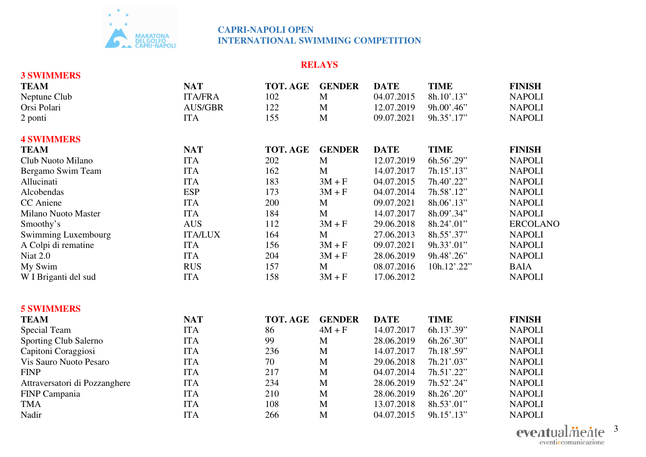

## **RELAYS**

| <b>3 SWIMMERS</b>             |                |          |               |             |               |                 |
|-------------------------------|----------------|----------|---------------|-------------|---------------|-----------------|
| <b>TEAM</b>                   | <b>NAT</b>     | TOT. AGE | <b>GENDER</b> | <b>DATE</b> | <b>TIME</b>   | <b>FINISH</b>   |
| Neptune Club                  | <b>ITA/FRA</b> | 102      | $\mathbf{M}$  | 04.07.2015  | 8h.10'.13"    | <b>NAPOLI</b>   |
| Orsi Polari                   | <b>AUS/GBR</b> | 122      | M             | 12.07.2019  | $9h.00'$ .46" | <b>NAPOLI</b>   |
| 2 ponti                       | <b>ITA</b>     | 155      | $\mathbf{M}$  | 09.07.2021  | 9h.35'.17"    | <b>NAPOLI</b>   |
| <b>4 SWIMMERS</b>             |                |          |               |             |               |                 |
| <b>TEAM</b>                   | <b>NAT</b>     | TOT. AGE | <b>GENDER</b> | <b>DATE</b> | <b>TIME</b>   | <b>FINISH</b>   |
| Club Nuoto Milano             | <b>ITA</b>     | 202      | M             | 12.07.2019  | 6h.56'.29"    | <b>NAPOLI</b>   |
| Bergamo Swim Team             | <b>ITA</b>     | 162      | M             | 14.07.2017  | 7h.15' .13"   | <b>NAPOLI</b>   |
| Allucinati                    | <b>ITA</b>     | 183      | $3M + F$      | 04.07.2015  | 7h.40'.22"    | <b>NAPOLI</b>   |
| Alcobendas                    | <b>ESP</b>     | 173      | $3M + F$      | 04.07.2014  | 7h.58'.12"    | <b>NAPOLI</b>   |
| CC Aniene                     | <b>ITA</b>     | 200      | M             | 09.07.2021  | 8h.06'.13"    | <b>NAPOLI</b>   |
| <b>Milano Nuoto Master</b>    | <b>ITA</b>     | 184      | M             | 14.07.2017  | 8h.09'.34"    | <b>NAPOLI</b>   |
| Smoothy's                     | <b>AUS</b>     | 112      | $3M + F$      | 29.06.2018  | 8h.24'.01"    | <b>ERCOLANO</b> |
| Swimming Luxembourg           | <b>ITA/LUX</b> | 164      | M             | 27.06.2013  | 8h.55'.37"    | <b>NAPOLI</b>   |
| A Colpi di rematine           | <b>ITA</b>     | 156      | $3M + F$      | 09.07.2021  | 9h.33'.01"    | <b>NAPOLI</b>   |
| Niat 2.0                      | <b>ITA</b>     | 204      | $3M + F$      | 28.06.2019  | 9h.48'.26"    | <b>NAPOLI</b>   |
| My Swim                       | <b>RUS</b>     | 157      | M             | 08.07.2016  | 10h.12'.22"   | <b>BAIA</b>     |
| W I Briganti del sud          | <b>ITA</b>     | 158      | $3M + F$      | 17.06.2012  |               | <b>NAPOLI</b>   |
| <b>5 SWIMMERS</b>             |                |          |               |             |               |                 |
| <b>TEAM</b>                   | <b>NAT</b>     | TOT. AGE | <b>GENDER</b> | <b>DATE</b> | <b>TIME</b>   | <b>FINISH</b>   |
| Special Team                  | <b>ITA</b>     | 86       | $4M + F$      | 14.07.2017  | 6h.13'.39"    | <b>NAPOLI</b>   |
| Sporting Club Salerno         | <b>ITA</b>     | 99       | M             | 28.06.2019  | 6h.26'.30"    | <b>NAPOLI</b>   |
| Capitoni Coraggiosi           | <b>ITA</b>     | 236      | M             | 14.07.2017  | 7h.18'.59"    | <b>NAPOLI</b>   |
| Vis Sauro Nuoto Pesaro        | <b>ITA</b>     | 70       | M             | 29.06.2018  | 7h.21'.03"    | <b>NAPOLI</b>   |
| <b>FINP</b>                   | <b>ITA</b>     | 217      | M             | 04.07.2014  | 7h.51'.22"    | <b>NAPOLI</b>   |
| Attraversatori di Pozzanghere | <b>ITA</b>     | 234      | M             | 28.06.2019  | 7h.52'.24"    | <b>NAPOLI</b>   |
| FINP Campania                 | <b>ITA</b>     | 210      | M             | 28.06.2019  | 8h.26'.20"    | <b>NAPOLI</b>   |

TMA ITA 108 M 13.07.2018 8h.53'.01" NAPOLI

Nadir ITA 266 M 04.07.2015 9h.15'.13" NAPOLI

3 eventiecomunicazione

**NAPOLI** 

**NAPOLI**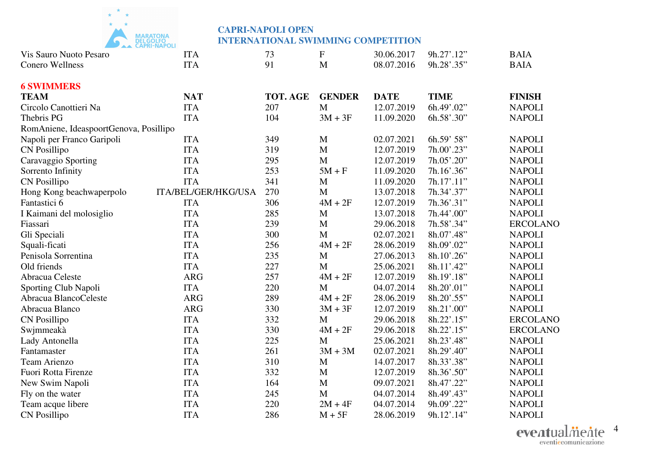

| Vis Sauro Nuoto Pesaro                 | <b>ITA</b>          | 73       | $\boldsymbol{\mathrm{F}}$ | 30.06.2017  | 9h.27'.12"  | <b>BAIA</b>     |
|----------------------------------------|---------------------|----------|---------------------------|-------------|-------------|-----------------|
| <b>Conero Wellness</b>                 | <b>ITA</b>          | 91       | M                         | 08.07.2016  | 9h.28'.35"  | <b>BAIA</b>     |
| <b>6 SWIMMERS</b>                      |                     |          |                           |             |             |                 |
| <b>TEAM</b>                            | <b>NAT</b>          | TOT. AGE | <b>GENDER</b>             | <b>DATE</b> | <b>TIME</b> | <b>FINISH</b>   |
| Circolo Canottieri Na                  | <b>ITA</b>          | 207      | $\mathbf{M}$              | 12.07.2019  | 6h.49'.02"  | <b>NAPOLI</b>   |
| Thebris PG                             | <b>ITA</b>          | 104      | $3M + 3F$                 | 11.09.2020  | 6h.58'.30"  | <b>NAPOLI</b>   |
| RomAniene, IdeaspoortGenova, Posillipo |                     |          |                           |             |             |                 |
| Napoli per Franco Garipoli             | <b>ITA</b>          | 349      | M                         | 02.07.2021  | 6h.59' 58"  | <b>NAPOLI</b>   |
| CN Posillipo                           | <b>ITA</b>          | 319      | M                         | 12.07.2019  | 7h.00'.23"  | <b>NAPOLI</b>   |
| Caravaggio Sporting                    | <b>ITA</b>          | 295      | $\mathbf M$               | 12.07.2019  | 7h.05'.20"  | <b>NAPOLI</b>   |
| Sorrento Infinity                      | <b>ITA</b>          | 253      | $5M + F$                  | 11.09.2020  | 7h.16'.36"  | <b>NAPOLI</b>   |
| <b>CN Posillipo</b>                    | <b>ITA</b>          | 341      | M                         | 11.09.2020  | 7h.17'.11"  | <b>NAPOLI</b>   |
| Hong Kong beachwaperpolo               | ITA/BEL/GER/HKG/USA | 270      | $\mathbf M$               | 13.07.2018  | 7h.34'.37"  | <b>NAPOLI</b>   |
| Fantastici 6                           | <b>ITA</b>          | 306      | $4M + 2F$                 | 12.07.2019  | 7h.36'.31"  | <b>NAPOLI</b>   |
| I Kaimani del molosiglio               | <b>ITA</b>          | 285      | M                         | 13.07.2018  | 7h.44'.00"  | <b>NAPOLI</b>   |
| Fiassari                               | <b>ITA</b>          | 239      | M                         | 29.06.2018  | 7h.58'.34"  | <b>ERCOLANO</b> |
| Gli Speciali                           | <b>ITA</b>          | 300      | M                         | 02.07.2021  | 8h.07'.48"  | <b>NAPOLI</b>   |
| Squali-ficati                          | <b>ITA</b>          | 256      | $4M + 2F$                 | 28.06.2019  | 8h.09'.02"  | <b>NAPOLI</b>   |
| Penisola Sorrentina                    | <b>ITA</b>          | 235      | M                         | 27.06.2013  | 8h.10'.26"  | <b>NAPOLI</b>   |
| Old friends                            | <b>ITA</b>          | 227      | $\mathbf M$               | 25.06.2021  | 8h.11'.42"  | <b>NAPOLI</b>   |
| Abracua Celeste                        | <b>ARG</b>          | 257      | $4M + 2F$                 | 12.07.2019  | 8h.19'.18"  | <b>NAPOLI</b>   |
| Sporting Club Napoli                   | <b>ITA</b>          | 220      | M                         | 04.07.2014  | 8h.20'.01"  | <b>NAPOLI</b>   |
| Abracua BlancoCeleste                  | <b>ARG</b>          | 289      | $4M + 2F$                 | 28.06.2019  | 8h.20'.55"  | <b>NAPOLI</b>   |
| Abracua Blanco                         | <b>ARG</b>          | 330      | $3M + 3F$                 | 12.07.2019  | 8h.21'.00"  | <b>NAPOLI</b>   |
| <b>CN Posillipo</b>                    | <b>ITA</b>          | 332      | M                         | 29.06.2018  | 8h.22'.15"  | <b>ERCOLANO</b> |
| Swjmmeakà                              | <b>ITA</b>          | 330      | $4M + 2F$                 | 29.06.2018  | 8h.22'.15"  | <b>ERCOLANO</b> |
| Lady Antonella                         | <b>ITA</b>          | 225      | M                         | 25.06.2021  | 8h.23'.48"  | <b>NAPOLI</b>   |
| Fantamaster                            | <b>ITA</b>          | 261      | $3M + 3M$                 | 02.07.2021  | 8h.29'.40"  | <b>NAPOLI</b>   |
| <b>Team Arienzo</b>                    | <b>ITA</b>          | 310      | M                         | 14.07.2017  | 8h.33'.38"  | <b>NAPOLI</b>   |
| Fuori Rotta Firenze                    | <b>ITA</b>          | 332      | $\mathbf M$               | 12.07.2019  | 8h.36'.50"  | <b>NAPOLI</b>   |
| New Swim Napoli                        | <b>ITA</b>          | 164      | M                         | 09.07.2021  | 8h.47'.22"  | <b>NAPOLI</b>   |
| Fly on the water                       | <b>ITA</b>          | 245      | M                         | 04.07.2014  | 8h.49'.43"  | <b>NAPOLI</b>   |
| Team acque libere                      | <b>ITA</b>          | 220      | $2M + 4F$                 | 04.07.2014  | 9h.09'.22"  | <b>NAPOLI</b>   |
| <b>CN Posillipo</b>                    | <b>ITA</b>          | 286      | $M + 5F$                  | 28.06.2019  | 9h.12'.14"  | <b>NAPOLI</b>   |

4